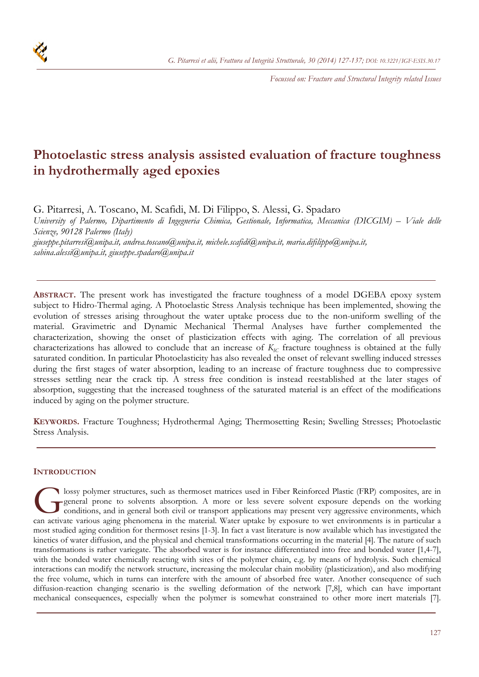*Focussed on: Fracture and Structural Integrity related Issues* 

# **Photoelastic stress analysis assisted evaluation of fracture toughness in hydrothermally aged epoxies**

G. Pitarresi, A. Toscano, M. Scafidi, M. Di Filippo, S. Alessi, G. Spadaro

*University of Palermo, Dipartimento di Ingegneria Chimica, Gestionale, Informatica, Meccanica (DICGIM) – Viale delle Scienze, 90128 Palermo (Italy)* 

*giuseppe.pitarresi@unipa.it, andrea.toscano@unipa.it, michele.scafidi@unipa.it, maria.difilippo@unipa.it, sabina.alessi@unipa.it, giuseppe.spadaro@unipa.it* 

**ABSTRACT.** The present work has investigated the fracture toughness of a model DGEBA epoxy system subject to Hidro-Thermal aging. A Photoelastic Stress Analysis technique has been implemented, showing the evolution of stresses arising throughout the water uptake process due to the non-uniform swelling of the material. Gravimetric and Dynamic Mechanical Thermal Analyses have further complemented the characterization, showing the onset of plasticization effects with aging. The correlation of all previous characterizations has allowed to conclude that an increase of  $K_{IC}$  fracture toughness is obtained at the fully saturated condition. In particular Photoelasticity has also revealed the onset of relevant swelling induced stresses during the first stages of water absorption, leading to an increase of fracture toughness due to compressive stresses settling near the crack tip. A stress free condition is instead reestablished at the later stages of absorption, suggesting that the increased toughness of the saturated material is an effect of the modifications induced by aging on the polymer structure.

**KEYWORDS.** Fracture Toughness; Hydrothermal Aging; Thermosetting Resin; Swelling Stresses; Photoelastic Stress Analysis.

# **INTRODUCTION**

lossy polymer structures, such as thermoset matrices used in Fiber Reinforced Plastic (FRP) composites, are in general prone to solvents absorption. A more or less severe solvent exposure depends on the working conditions, and in general both civil or transport applications may present very aggressive environments, which Consequently agency of the material as the material and Fiber Reinforced Plastic (FRP) composites, are in general prone to solvents absorption. A more or less severe solvent exposure depends on the working conditions, and most studied aging condition for thermoset resins [1-3]. In fact a vast literature is now available which has investigated the kinetics of water diffusion, and the physical and chemical transformations occurring in the material [4]. The nature of such transformations is rather variegate. The absorbed water is for instance differentiated into free and bonded water [1,4-7], with the bonded water chemically reacting with sites of the polymer chain, e.g. by means of hydrolysis. Such chemical interactions can modify the network structure, increasing the molecular chain mobility (plasticization), and also modifying the free volume, which in turns can interfere with the amount of absorbed free water. Another consequence of such diffusion-reaction changing scenario is the swelling deformation of the network [7,8], which can have important mechanical consequences, especially when the polymer is somewhat constrained to other more inert materials [7].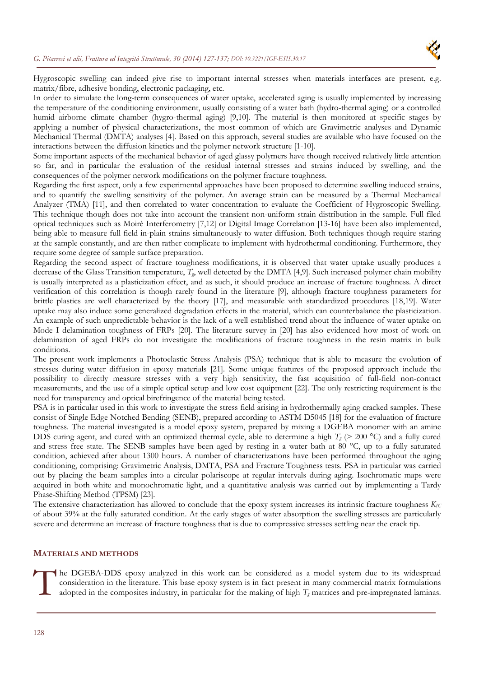

Hygroscopic swelling can indeed give rise to important internal stresses when materials interfaces are present, e.g. matrix/fibre, adhesive bonding, electronic packaging, etc.

In order to simulate the long-term consequences of water uptake, accelerated aging is usually implemented by increasing the temperature of the conditioning environment, usually consisting of a water bath (hydro-thermal aging) or a controlled humid airborne climate chamber (hygro-thermal aging) [9,10]. The material is then monitored at specific stages by applying a number of physical characterizations, the most common of which are Gravimetric analyses and Dynamic Mechanical Thermal (DMTA) analyses [4]. Based on this approach, several studies are available who have focused on the interactions between the diffusion kinetics and the polymer network structure [1-10].

Some important aspects of the mechanical behavior of aged glassy polymers have though received relatively little attention so far, and in particular the evaluation of the residual internal stresses and strains induced by swelling, and the consequences of the polymer network modifications on the polymer fracture toughness.

Regarding the first aspect, only a few experimental approaches have been proposed to determine swelling induced strains, and to quantify the swelling sensitivity of the polymer. An average strain can be measured by a Thermal Mechanical Analyzer (TMA) [11], and then correlated to water concentration to evaluate the Coefficient of Hygroscopic Swelling. This technique though does not take into account the transient non-uniform strain distribution in the sample. Full filed optical techniques such as Moirè Interferometry [7,12] or Digital Image Correlation [13-16] have been also implemented, being able to measure full field in-plain strains simultaneously to water diffusion. Both techniques though require staring at the sample constantly, and are then rather complicate to implement with hydrothermal conditioning. Furthermore, they require some degree of sample surface preparation.

Regarding the second aspect of fracture toughness modifications, it is observed that water uptake usually produces a decrease of the Glass Transition temperature, *Tg*, well detected by the DMTA [4,9]. Such increased polymer chain mobility is usually interpreted as a plasticization effect, and as such, it should produce an increase of fracture toughness. A direct verification of this correlation is though rarely found in the literature [9], although fracture toughness parameters for brittle plastics are well characterized by the theory [17], and measurable with standardized procedures [18,19]. Water uptake may also induce some generalized degradation effects in the material, which can counterbalance the plasticization. An example of such unpredictable behavior is the lack of a well established trend about the influence of water uptake on Mode I delamination toughness of FRPs [20]. The literature survey in [20] has also evidenced how most of work on delamination of aged FRPs do not investigate the modifications of fracture toughness in the resin matrix in bulk conditions.

The present work implements a Photoelastic Stress Analysis (PSA) technique that is able to measure the evolution of stresses during water diffusion in epoxy materials [21]. Some unique features of the proposed approach include the possibility to directly measure stresses with a very high sensitivity, the fast acquisition of full-field non-contact measurements, and the use of a simple optical setup and low cost equipment [22]. The only restricting requirement is the need for transparency and optical birefringence of the material being tested.

PSA is in particular used in this work to investigate the stress field arising in hydrothermally aging cracked samples. These consist of Single Edge Notched Bending (SENB), prepared according to ASTM D5045 [18] for the evaluation of fracture toughness. The material investigated is a model epoxy system, prepared by mixing a DGEBA monomer with an amine DDS curing agent, and cured with an optimized thermal cycle, able to determine a high  $T_g$  ( $> 200$  °C) and a fully cured and stress free state. The SENB samples have been aged by resting in a water bath at 80 °C, up to a fully saturated condition, achieved after about 1300 hours. A number of characterizations have been performed throughout the aging conditioning, comprising: Gravimetric Analysis, DMTA, PSA and Fracture Toughness tests. PSA in particular was carried out by placing the beam samples into a circular polariscope at regular intervals during aging. Isochromatic maps were acquired in both white and monochromatic light, and a quantitative analysis was carried out by implementing a Tardy Phase-Shifting Method (TPSM) [23].

The extensive characterization has allowed to conclude that the epoxy system increases its intrinsic fracture toughness *KIC* of about 39% at the fully saturated condition. At the early stages of water absorption the swelling stresses are particularly severe and determine an increase of fracture toughness that is due to compressive stresses settling near the crack tip.

#### **MATERIALS AND METHODS**

The DGEBA-DDS epoxy analyzed in this work can be considered as a model system due to its widespread<br>consideration in the literature. This base epoxy system is in fact present in many commercial matrix formulations<br>adopted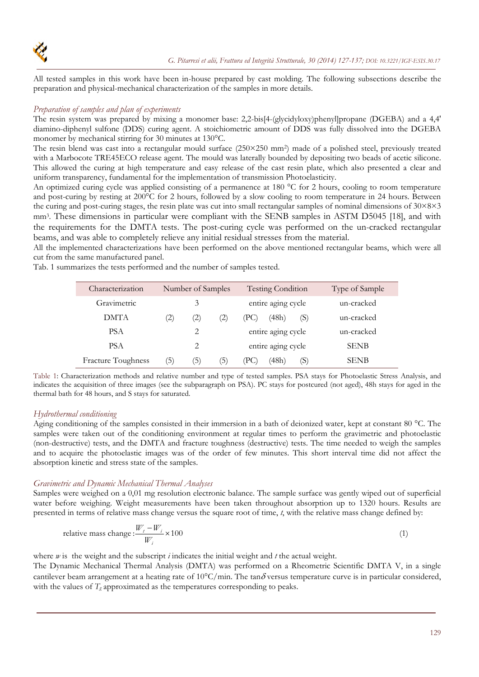

All tested samples in this work have been in-house prepared by cast molding. The following subsections describe the preparation and physical-mechanical characterization of the samples in more details.

## *Preparation of samples and plan of experiments*

The resin system was prepared by mixing a monomer base: 2,2-bis[4-(glycidyloxy)phenyl]propane (DGEBA) and a 4,4' diamino-diphenyl sulfone (DDS) curing agent. A stoichiometric amount of DDS was fully dissolved into the DGEBA monomer by mechanical stirring for 30 minutes at 130°C.

The resin blend was cast into a rectangular mould surface (250×250 mm<sup>2</sup>) made of a polished steel, previously treated with a Marbocote TRE45ECO release agent. The mould was laterally bounded by depositing two beads of acetic silicone. This allowed the curing at high temperature and easy release of the cast resin plate, which also presented a clear and uniform transparency, fundamental for the implementation of transmission Photoelasticity.

An optimized curing cycle was applied consisting of a permanence at 180 °C for 2 hours, cooling to room temperature and post-curing by resting at 200°C for 2 hours, followed by a slow cooling to room temperature in 24 hours. Between the curing and post-curing stages, the resin plate was cut into small rectangular samples of nominal dimensions of 30×8×3 mm3. These dimensions in particular were compliant with the SENB samples in ASTM D5045 [18], and with the requirements for the DMTA tests. The post-curing cycle was performed on the un-cracked rectangular beams, and was able to completely relieve any initial residual stresses from the material.

All the implemented characterizations have been performed on the above mentioned rectangular beams, which were all cut from the same manufactured panel.

Tab. 1 summarizes the tests performed and the number of samples tested.

| Characterization          | Number of Samples |          |                   | <b>Testing Condition</b> | Type of Sample |
|---------------------------|-------------------|----------|-------------------|--------------------------|----------------|
| Gravimetric               |                   | 3        |                   | entire aging cycle       | un-cracked     |
| DMTA                      | $\left( 2\right)$ | $\rm(2)$ | $\left( 2\right)$ | (48h)<br>(S)<br>(PC)     | un-cracked     |
| <b>PSA</b>                |                   | 2        |                   | entire aging cycle       | un-cracked     |
| <b>PSA</b>                |                   | 2        |                   | entire aging cycle       | <b>SENB</b>    |
| <b>Fracture Toughness</b> | (5)               | (5)      | (5)               | (48h)<br>(PC)<br>(S)     | <b>SENB</b>    |

Table 1: Characterization methods and relative number and type of tested samples. PSA stays for Photoelastic Stress Analysis, and indicates the acquisition of three images (see the subparagraph on PSA). PC stays for postcured (not aged), 48h stays for aged in the thermal bath for 48 hours, and S stays for saturated.

## *Hydrothermal conditioning*

Aging conditioning of the samples consisted in their immersion in a bath of deionized water, kept at constant 80 °C. The samples were taken out of the conditioning environment at regular times to perform the gravimetric and photoelastic (non-destructive) tests, and the DMTA and fracture toughness (destructive) tests. The time needed to weigh the samples and to acquire the photoelastic images was of the order of few minutes. This short interval time did not affect the absorption kinetic and stress state of the samples.

## *Gravimetric and Dynamic Mechanical Thermal Analyses*

Samples were weighed on a 0,01 mg resolution electronic balance. The sample surface was gently wiped out of superficial water before weighing. Weight measurements have been taken throughout absorption up to 1320 hours. Results are presented in terms of relative mass change versus the square root of time, *t*, with the relative mass change defined by:

relative mass change: 
$$
\frac{W_t - W_i}{W_i} \times 100
$$
 (1)

where *w* is the weight and the subscript *i* indicates the initial weight and *t* the actual weight.

The Dynamic Mechanical Thermal Analysis (DMTA) was performed on a Rheometric Scientific DMTA V, in a single cantilever beam arrangement at a heating rate of  $10^{\circ}$ C/min. The tan $\delta$  versus temperature curve is in particular considered, with the values of  $T_{g}$  approximated as the temperatures corresponding to peaks.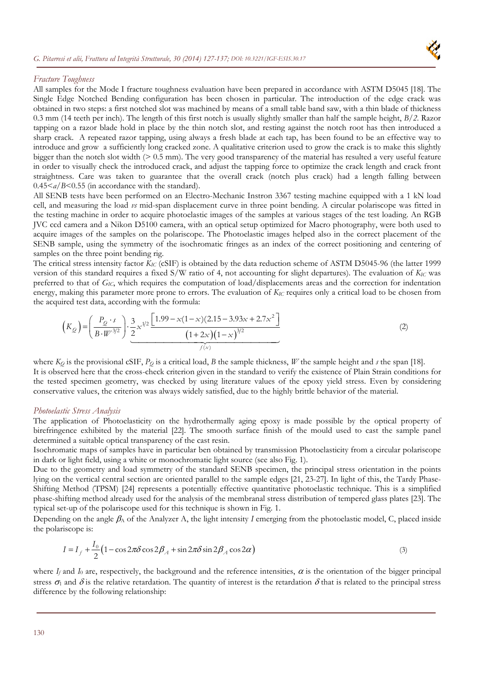

#### *Fracture Toughness*

All samples for the Mode I fracture toughness evaluation have been prepared in accordance with ASTM D5045 [18]. The Single Edge Notched Bending configuration has been chosen in particular. The introduction of the edge crack was obtained in two steps: a first notched slot was machined by means of a small table band saw, with a thin blade of thickness 0.3 mm (14 teeth per inch). The length of this first notch is usually slightly smaller than half the sample height, *B/2*. Razor tapping on a razor blade hold in place by the thin notch slot, and resting against the notch root has then introduced a sharp crack. A repeated razor tapping, using always a fresh blade at each tap, has been found to be an effective way to introduce and grow a sufficiently long cracked zone. A qualitative criterion used to grow the crack is to make this slightly bigger than the notch slot width (> 0.5 mm). The very good transparency of the material has resulted a very useful feature in order to visually check the introduced crack, and adjust the tapping force to optimize the crack length and crack front straightness. Care was taken to guarantee that the overall crack (notch plus crack) had a length falling between 0.45<*a*/*B*<0.55 (in accordance with the standard).

All SENB tests have been performed on an Electro-Mechanic Instron 3367 testing machine equipped with a 1 kN load cell, and measuring the load *vs* mid-span displacement curve in three point bending. A circular polariscope was fitted in the testing machine in order to acquire photoelastic images of the samples at various stages of the test loading. An RGB JVC ccd camera and a Nikon D5100 camera, with an optical setup optimized for Macro photography, were both used to acquire images of the samples on the polariscope. The Photoelastic images helped also in the correct placement of the SENB sample, using the symmetry of the isochromatic fringes as an index of the correct positioning and centering of samples on the three point bending rig.

The critical stress intensity factor *KIC* (cSIF) is obtained by the data reduction scheme of ASTM D5045-96 (the latter 1999 version of this standard requires a fixed  $S/W$  ratio of 4, not accounting for slight departures). The evaluation of  $K_{IC}$  was preferred to that of *GIC*, which requires the computation of load/displacements areas and the correction for indentation energy, making this parameter more prone to errors. The evaluation of  $K_{IC}$  requires only a critical load to be chosen from the acquired test data, according with the formula:

$$
\left(K_{\mathcal{Q}}\right) = \left(\frac{P_{\mathcal{Q}} \cdot s}{B \cdot W^{3/2}}\right) \cdot \underbrace{\frac{3}{2} x^{1/2} \frac{\left[1.99 - x(1-x)(2.15 - 3.93x + 2.7x^2\right]}{(1+2x)(1-x)^{3/2}}}{\left(1 + \frac{2}{x}\right)^{3/2}}
$$
\n<sup>(2)</sup>

where  $K_Q$  is the provisional cSIF,  $P_Q$  is a critical load, *B* the sample thickness, *W* the sample height and *s* the span [18]. It is observed here that the cross-check criterion given in the standard to verify the existence of Plain Strain conditions for the tested specimen geometry, was checked by using literature values of the epoxy yield stress. Even by considering conservative values, the criterion was always widely satisfied, due to the highly brittle behavior of the material.

## *Photoelastic Stress Analysis*

The application of Photoelasticity on the hydrothermally aging epoxy is made possible by the optical property of birefringence exhibited by the material [22]. The smooth surface finish of the mould used to cast the sample panel determined a suitable optical transparency of the cast resin.

Isochromatic maps of samples have in particular ben obtained by transmission Photoelasticity from a circular polariscope in dark or light field, using a white or monochromatic light source (see also Fig. 1).

Due to the geometry and load symmetry of the standard SENB specimen, the principal stress orientation in the points lying on the vertical central section are oriented parallel to the sample edges [21, 23-27]. In light of this, the Tardy Phase-Shifting Method (TPSM) [24] represents a potentially effective quantitative photoelastic technique. This is a simplified phase-shifting method already used for the analysis of the membranal stress distribution of tempered glass plates [23]. The typical set-up of the polariscope used for this technique is shown in Fig. 1.

Depending on the angle  $\beta_A$  of the Analyzer A, the light intensity *I* emerging from the photoelastic model, C, placed inside the polariscope is:

$$
I = I_f + \frac{I_0}{2} \left( 1 - \cos 2\pi \delta \cos 2\beta_A + \sin 2\pi \delta \sin 2\beta_A \cos 2\alpha \right)
$$
 (3)

where  $I_f$  and  $I_0$  are, respectively, the background and the reference intensities,  $\alpha$  is the orientation of the bigger principal stress  $\sigma_1$  and  $\delta$  is the relative retardation. The quantity of interest is the retardation  $\delta$  that is related to the principal stress difference by the following relationship: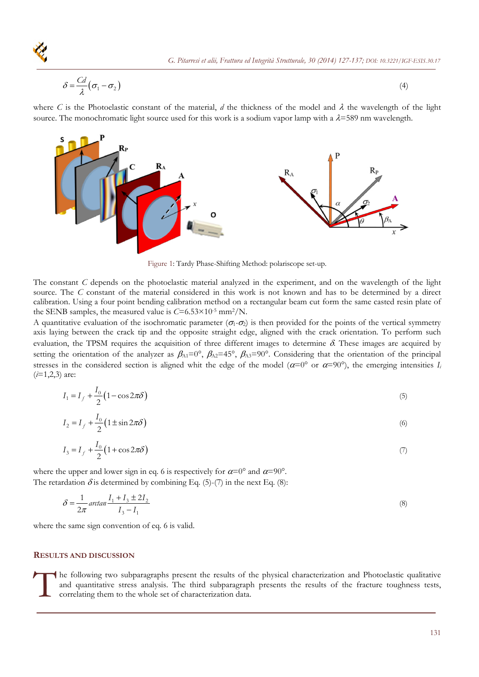$$
\delta = \frac{Cd}{\lambda} (\sigma_1 - \sigma_2) \tag{4}
$$

where *C* is the Photoelastic constant of the material, *d* the thickness of the model and  $\lambda$  the wavelength of the light source. The monochromatic light source used for this work is a sodium vapor lamp with a  $\lambda$ =589 nm wavelength.



Figure 1: Tardy Phase-Shifting Method: polariscope set-up.

The constant *C* depends on the photoelastic material analyzed in the experiment, and on the wavelength of the light source. The *C* constant of the material considered in this work is not known and has to be determined by a direct calibration. Using a four point bending calibration method on a rectangular beam cut form the same casted resin plate of the SENB samples, the measured value is  $C=6.53\times10^{-5}$  mm<sup>2</sup>/N.

A quantitative evaluation of the isochromatic parameter ( $\sigma_1$ - $\sigma_2$ ) is then provided for the points of the vertical symmetry axis laying between the crack tip and the opposite straight edge, aligned with the crack orientation. To perform such evaluation, the TPSM requires the acquisition of three different images to determine  $\delta$ . These images are acquired by setting the orientation of the analyzer as  $\beta_{A1}=0^\circ$ ,  $\beta_{A2}=45^\circ$ ,  $\beta_{A3}=90^\circ$ . Considering that the orientation of the principal stresses in the considered section is aligned whit the edge of the model  $(\alpha=0^{\circ}$  or  $\alpha=90^{\circ})$ , the emerging intensities *I<sub>i</sub>* (*i*=1,2,3) are:

$$
I_1 = I_f + \frac{I_0}{2} (1 - \cos 2\pi \delta)
$$
 (5)

$$
I_2 = I_f + \frac{I_0}{2} (1 \pm \sin 2\pi \delta)
$$
 (6)

$$
I_3 = I_f + \frac{I_0}{2} (1 + \cos 2\pi \delta)
$$
 (7)

where the upper and lower sign in eq. 6 is respectively for  $\alpha=0^{\circ}$  and  $\alpha=90^{\circ}$ . The retardation  $\delta$  is determined by combining Eq. (5)-(7) in the next Eq. (8):

$$
\delta = \frac{1}{2\pi} \arctan \frac{I_1 + I_3 \pm 2I_2}{I_3 - I_1}
$$
\n(8)

where the same sign convention of eq. 6 is valid.

#### **RESULTS AND DISCUSSION**

The following two subparagraphs present the results of the physical characterization and Photoelastic qualitative and quantitative stress analysis. The third subparagraph presents the results of the fracture toughness test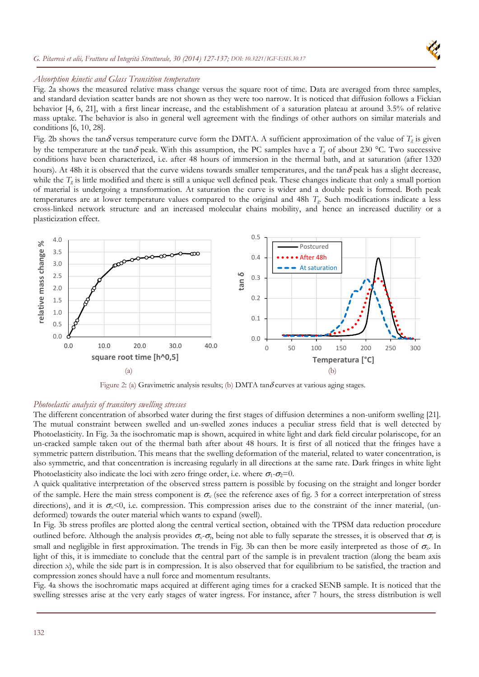### *G. Pitarresi et alii, Frattura ed Integrità Strutturale, 30 (2014) 127-137; DOI: 10.3221/IGF-ESIS.30.17*



## *Absorption kinetic and Glass Transition temperature*

Fig. 2a shows the measured relative mass change versus the square root of time. Data are averaged from three samples, and standard deviation scatter bands are not shown as they were too narrow. It is noticed that diffusion follows a Fickian behavior [4, 6, 21], with a first linear increase, and the establishment of a saturation plateau at around 3.5% of relative mass uptake. The behavior is also in general well agreement with the findings of other authors on similar materials and conditions [6, 10, 28].

Fig. 2b shows the tan  $\delta$  versus temperature curve form the DMTA. A sufficient approximation of the value of  $T_g$  is given by the temperature at the tan $\delta$  peak. With this assumption, the PC samples have a  $T_g$  of about 230 °C. Two successive conditions have been characterized, i.e. after 48 hours of immersion in the thermal bath, and at saturation (after 1320 hours). At 48h it is observed that the curve widens towards smaller temperatures, and the tan $\delta$  peak has a slight decrease, while the  $T_g$  is little modified and there is still a unique well defined peak. These changes indicate that only a small portion of material is undergoing a transformation. At saturation the curve is wider and a double peak is formed. Both peak temperatures are at lower temperature values compared to the original and 48h *Tg*. Such modifications indicate a less cross-linked network structure and an increased molecular chains mobility, and hence an increased ductility or a plasticization effect.



Figure 2: (a) Gravimetric analysis results; (b) DMTA tan $\delta$  curves at various aging stages.

#### *Photoelastic analysis of transitory swelling stresses*

The different concentration of absorbed water during the first stages of diffusion determines a non-uniform swelling [21]. The mutual constraint between swelled and un-swelled zones induces a peculiar stress field that is well detected by Photoelasticity. In Fig. 3a the isochromatic map is shown, acquired in white light and dark field circular polariscope, for an un-cracked sample taken out of the thermal bath after about 48 hours. It is first of all noticed that the fringes have a symmetric pattern distribution. This means that the swelling deformation of the material, related to water concentration, is also symmetric, and that concentration is increasing regularly in all directions at the same rate. Dark fringes in white light Photoelasticity also indicate the loci with zero fringe order, i.e. where  $\sigma_1$ - $\sigma_2$ =0.

A quick qualitative interpretation of the observed stress pattern is possible by focusing on the straight and longer border of the sample. Here the main stress component is  $\sigma_x$  (see the reference axes of fig. 3 for a correct interpretation of stress directions), and it is  $\sigma_{x}$ <0, i.e. compression. This compression arises due to the constraint of the inner material, (undeformed) towards the outer material which wants to expand (swell).

In Fig. 3b stress profiles are plotted along the central vertical section, obtained with the TPSM data reduction procedure outlined before. Although the analysis provides  $\sigma_x - \sigma_y$ , being not able to fully separate the stresses, it is observed that  $\sigma_y$  is small and negligible in first approximation. The trends in Fig. 3b can then be more easily interpreted as those of  $\sigma_{\rm x}$ . In light of this, it is immediate to conclude that the central part of the sample is in prevalent traction (along the beam axis direction *x*), while the side part is in compression. It is also observed that for equilibrium to be satisfied, the traction and compression zones should have a null force and momentum resultants.

Fig. 4a shows the isochromatic maps acquired at different aging times for a cracked SENB sample. It is noticed that the swelling stresses arise at the very early stages of water ingress. For instance, after 7 hours, the stress distribution is well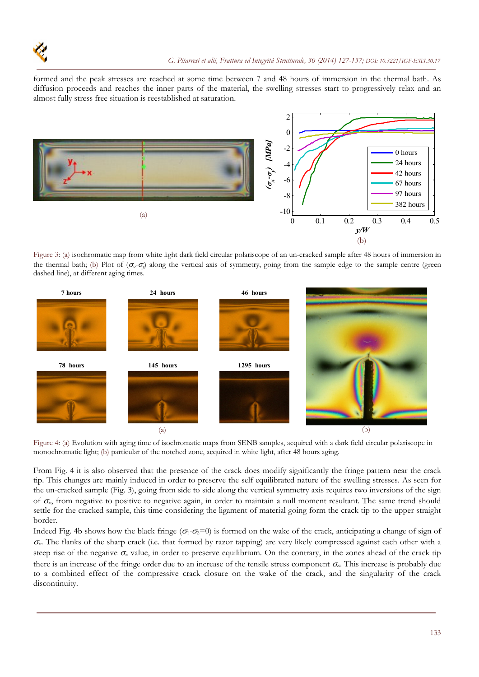

formed and the peak stresses are reached at some time between 7 and 48 hours of immersion in the thermal bath. As diffusion proceeds and reaches the inner parts of the material, the swelling stresses start to progressively relax and an almost fully stress free situation is reestablished at saturation.



Figure 3: (a) isochromatic map from white light dark field circular polariscope of an un-cracked sample after 48 hours of immersion in the thermal bath; (b) Plot of  $(\sigma, \sigma)$  along the vertical axis of symmetry, going from the sample edge to the sample centre (green dashed line), at different aging times.



Figure 4: (a) Evolution with aging time of isochromatic maps from SENB samples, acquired with a dark field circular polariscope in monochromatic light; (b) particular of the notched zone, acquired in white light, after 48 hours aging.

From Fig. 4 it is also observed that the presence of the crack does modify significantly the fringe pattern near the crack tip. This changes are mainly induced in order to preserve the self equilibrated nature of the swelling stresses. As seen for the un-cracked sample (Fig. 3), going from side to side along the vertical symmetry axis requires two inversions of the sign of  $\sigma_x$ , from negative to positive to negative again, in order to maintain a null moment resultant. The same trend should settle for the cracked sample, this time considering the ligament of material going form the crack tip to the upper straight border.

Indeed Fig. 4b shows how the black fringe  $(\sigma_1 - \sigma_2 = 0)$  is formed on the wake of the crack, anticipating a change of sign of  $\sigma_{\rm x}$ . The flanks of the sharp crack (i.e. that formed by razor tapping) are very likely compressed against each other with a steep rise of the negative  $\sigma_x$  value, in order to preserve equilibrium. On the contrary, in the zones ahead of the crack tip there is an increase of the fringe order due to an increase of the tensile stress component *x*. This increase is probably due to a combined effect of the compressive crack closure on the wake of the crack, and the singularity of the crack discontinuity.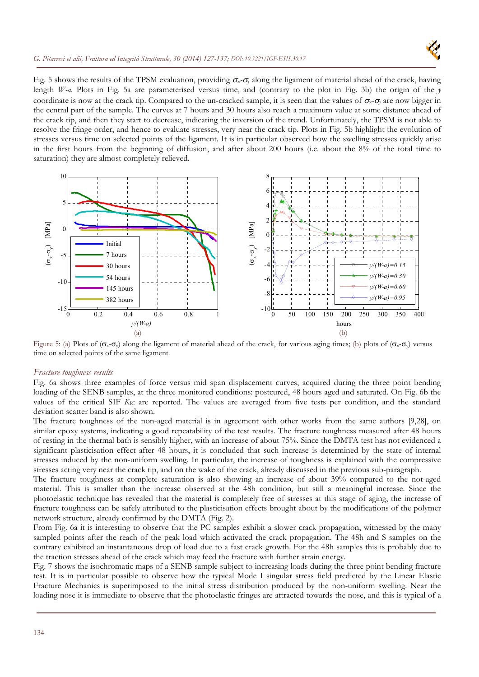

## *G. Pitarresi et alii, Frattura ed Integrità Strutturale, 30 (2014) 127-137; DOI: 10.3221/IGF-ESIS.30.17*

Fig. 5 shows the results of the TPSM evaluation, providing  $\sigma_x$ - $\sigma_y$  along the ligament of material ahead of the crack, having length *W-a*. Plots in Fig. 5a are parameterised versus time, and (contrary to the plot in Fig. 3b) the origin of the *y* coordinate is now at the crack tip. Compared to the un-cracked sample, it is seen that the values of  $\sigma_x$ - $\sigma_y$  are now bigger in the central part of the sample. The curves at 7 hours and 30 hours also reach a maximum value at some distance ahead of the crack tip, and then they start to decrease, indicating the inversion of the trend. Unfortunately, the TPSM is not able to resolve the fringe order, and hence to evaluate stresses, very near the crack tip. Plots in Fig. 5b highlight the evolution of stresses versus time on selected points of the ligament. It is in particular observed how the swelling stresses quickly arise in the first hours from the beginning of diffusion, and after about 200 hours (i.e. about the 8% of the total time to saturation) they are almost completely relieved.



Figure 5: (a) Plots of  $(\sigma_x - \sigma_y)$  along the ligament of material ahead of the crack, for various aging times; (b) plots of  $(\sigma_x - \sigma_y)$  versus time on selected points of the same ligament.

## *Fracture toughness results*

Fig. 6a shows three examples of force versus mid span displacement curves, acquired during the three point bending loading of the SENB samples, at the three monitored conditions: postcured, 48 hours aged and saturated. On Fig. 6b the values of the critical SIF *KIC* are reported. The values are averaged from five tests per condition, and the standard deviation scatter band is also shown.

The fracture toughness of the non-aged material is in agreement with other works from the same authors [9,28], on similar epoxy systems, indicating a good repeatability of the test results. The fracture toughness measured after 48 hours of resting in the thermal bath is sensibly higher, with an increase of about 75%. Since the DMTA test has not evidenced a significant plasticisation effect after 48 hours, it is concluded that such increase is determined by the state of internal stresses induced by the non-uniform swelling. In particular, the increase of toughness is explained with the compressive stresses acting very near the crack tip, and on the wake of the crack, already discussed in the previous sub-paragraph.

The fracture toughness at complete saturation is also showing an increase of about 39% compared to the not-aged material. This is smaller than the increase observed at the 48h condition, but still a meaningful increase. Since the photoelastic technique has revealed that the material is completely free of stresses at this stage of aging, the increase of fracture toughness can be safely attributed to the plasticisation effects brought about by the modifications of the polymer network structure, already confirmed by the DMTA (Fig. 2).

From Fig. 6a it is interesting to observe that the PC samples exhibit a slower crack propagation, witnessed by the many sampled points after the reach of the peak load which activated the crack propagation. The 48h and S samples on the contrary exhibited an instantaneous drop of load due to a fast crack growth. For the 48h samples this is probably due to the traction stresses ahead of the crack which may feed the fracture with further strain energy.

Fig. 7 shows the isochromatic maps of a SENB sample subject to increasing loads during the three point bending fracture test. It is in particular possible to observe how the typical Mode I singular stress field predicted by the Linear Elastic Fracture Mechanics is superimposed to the initial stress distribution produced by the non-uniform swelling. Near the loading nose it is immediate to observe that the photoelastic fringes are attracted towards the nose, and this is typical of a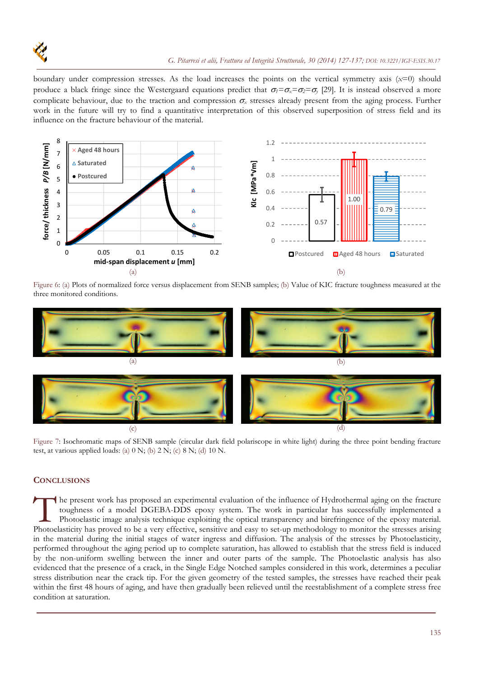

boundary under compression stresses. As the load increases the points on the vertical symmetry axis (*x*=0) should produce a black fringe since the Westergaard equations predict that  $\sigma_l = \sigma_x = \sigma_2 = \sigma_y$  [29]. It is instead observed a more complicate behaviour, due to the traction and compression  $\sigma_x$  stresses already present from the aging process. Further work in the future will try to find a quantitative interpretation of this observed superposition of stress field and its influence on the fracture behaviour of the material.



Figure 6: (a) Plots of normalized force versus displacement from SENB samples; (b) Value of KIC fracture toughness measured at the three monitored conditions.



Figure 7: Isochromatic maps of SENB sample (circular dark field polariscope in white light) during the three point bending fracture test, at various applied loads: (a)  $0 \text{ N}$ ; (b)  $2 \text{ N}$ ; (c)  $8 \text{ N}$ ; (d)  $10 \text{ N}$ .

# **CONCLUSIONS**

he present work has proposed an experimental evaluation of the influence of Hydrothermal aging on the fracture toughness of a model DGEBA-DDS epoxy system. The work in particular has successfully implemented a Photoelastic image analysis technique exploiting the optical transparency and birefringence of the epoxy material. The present work has proposed an experimental evaluation of the influence of Hydrothermal aging on the fracture toughness of a model DGEBA-DDS epoxy system. The work in particular has successfully implemented a Photoelasti in the material during the initial stages of water ingress and diffusion. The analysis of the stresses by Photoelasticity, performed throughout the aging period up to complete saturation, has allowed to establish that the stress field is induced by the non-uniform swelling between the inner and outer parts of the sample. The Photoelastic analysis has also evidenced that the presence of a crack, in the Single Edge Notched samples considered in this work, determines a peculiar stress distribution near the crack tip. For the given geometry of the tested samples, the stresses have reached their peak within the first 48 hours of aging, and have then gradually been relieved until the reestablishment of a complete stress free condition at saturation.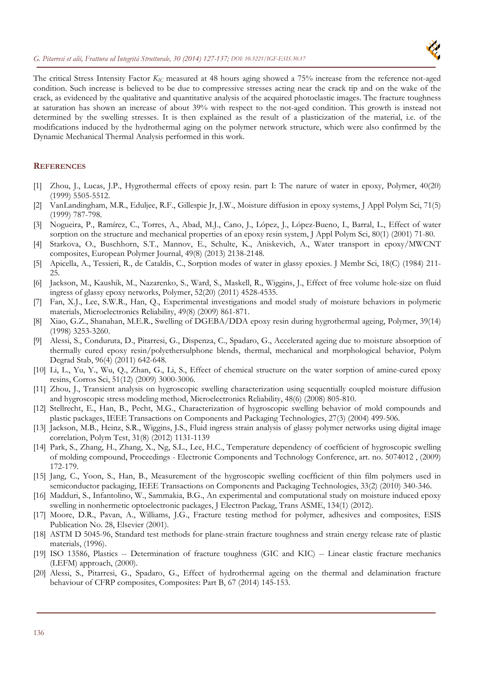

The critical Stress Intensity Factor *KIC* measured at 48 hours aging showed a 75% increase from the reference not-aged condition. Such increase is believed to be due to compressive stresses acting near the crack tip and on the wake of the crack, as evidenced by the qualitative and quantitative analysis of the acquired photoelastic images. The fracture toughness at saturation has shown an increase of about 39% with respect to the not-aged condition. This growth is instead not determined by the swelling stresses. It is then explained as the result of a plasticization of the material, i.e. of the modifications induced by the hydrothermal aging on the polymer network structure, which were also confirmed by the Dynamic Mechanical Thermal Analysis performed in this work.

## **REFERENCES**

- [1] Zhou, J., Lucas, J.P., Hygrothermal effects of epoxy resin. part I: The nature of water in epoxy, Polymer, 40(20) (1999) 5505-5512.
- [2] VanLandingham, M.R., Eduljee, R.F., Gillespie Jr, J.W., Moisture diffusion in epoxy systems, J Appl Polym Sci, 71(5) (1999) 787-798.
- [3] Nogueira, P., Ramírez, C., Torres, A., Abad, M.J., Cano, J., López, J., López-Bueno, I., Barral, L., Effect of water sorption on the structure and mechanical properties of an epoxy resin system, J Appl Polym Sci, 80(1) (2001) 71-80.
- [4] Starkova, O., Buschhorn, S.T., Mannov, E., Schulte, K., Aniskevich, A., Water transport in epoxy/MWCNT composites, European Polymer Journal, 49(8) (2013) 2138-2148.
- [5] Apicella, A., Tessieri, R., de Cataldis, C., Sorption modes of water in glassy epoxies. J Membr Sci, 18(C) (1984) 211- 25.
- [6] Jackson, M., Kaushik, M., Nazarenko, S., Ward, S., Maskell, R., Wiggins, J., Effect of free volume hole-size on fluid ingress of glassy epoxy networks, Polymer, 52(20) (2011) 4528-4535.
- [7] Fan, X.J., Lee, S.W.R., Han, Q., Experimental investigations and model study of moisture behaviors in polymeric materials, Microelectronics Reliability, 49(8) (2009) 861-871.
- [8] Xiao, G.Z., Shanahan, M.E.R., Swelling of DGEBA/DDA epoxy resin during hygrothermal ageing, Polymer, 39(14) (1998) 3253-3260.
- [9] Alessi, S., Conduruta, D., Pitarresi, G., Dispenza, C., Spadaro, G., Accelerated ageing due to moisture absorption of thermally cured epoxy resin/polyethersulphone blends, thermal, mechanical and morphological behavior, Polym Degrad Stab, 96(4) (2011) 642-648.
- [10] Li, L., Yu, Y., Wu, Q., Zhan, G., Li, S., Effect of chemical structure on the water sorption of amine-cured epoxy resins, Corros Sci, 51(12) (2009) 3000-3006.
- [11] Zhou, J., Transient analysis on hygroscopic swelling characterization using sequentially coupled moisture diffusion and hygroscopic stress modeling method, Microelectronics Reliability, 48(6) (2008) 805-810.
- [12] Stellrecht, E., Han, B., Pecht, M.G., Characterization of hygroscopic swelling behavior of mold compounds and plastic packages, IEEE Transactions on Components and Packaging Technologies, 27(3) (2004) 499-506.
- [13] Jackson, M.B., Heinz, S.R., Wiggins, J.S., Fluid ingress strain analysis of glassy polymer networks using digital image correlation, Polym Test, 31(8) (2012) 1131-1139
- [14] Park, S., Zhang, H., Zhang, X., Ng, S.L., Lee, H.C., Temperature dependency of coefficient of hygroscopic swelling of molding compound, Proceedings - Electronic Components and Technology Conference, art. no. 5074012 , (2009) 172-179.
- [15] Jang, C., Yoon, S., Han, B., Measurement of the hygroscopic swelling coefficient of thin film polymers used in semiconductor packaging, IEEE Transactions on Components and Packaging Technologies, 33(2) (2010) 340-346.
- [16] Madduri, S., Infantolino, W., Sammakia, B.G., An experimental and computational study on moisture induced epoxy swelling in nonhermetic optoelectronic packages, J Electron Packag, Trans ASME, 134(1) (2012).
- [17] Moore, D.R., Pavan, A., Williams, J.G., Fracture testing method for polymer, adhesives and composites, ESIS Publication No. 28, Elsevier (2001).
- [18] ASTM D 5045-96, Standard test methods for plane-strain fracture toughness and strain energy release rate of plastic materials, (1996).
- [19] ISO 13586, Plastics -- Determination of fracture toughness (GIC and KIC) -- Linear elastic fracture mechanics (LEFM) approach, (2000).
- [20] Alessi, S., Pitarresi, G., Spadaro, G., Effect of hydrothermal ageing on the thermal and delamination fracture behaviour of CFRP composites, Composites: Part B, 67 (2014) 145-153.